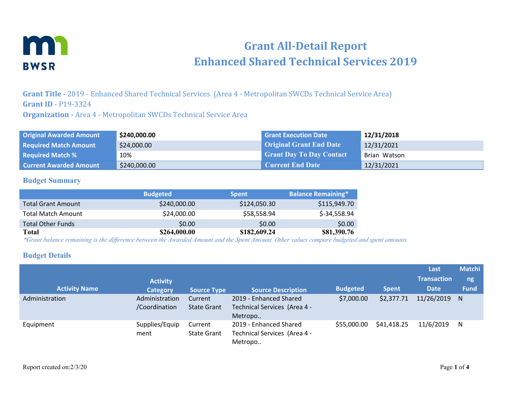

# **Grant All-Detail Report Enhanced Shared Technical Services 2019**

**Grant Title -** 2019 - Enhanced Shared Technical Services (Area 4 - Metropolitan SWCDs Technical Service Area) **Grant ID** - P19-3324

**Organization -** Area 4 - Metropolitan SWCDs Technical Service Area

| <b>Original Awarded Amount</b> | \$240,000.00 | <b>Grant Execution Date</b>     | 12/31/2018   |
|--------------------------------|--------------|---------------------------------|--------------|
| <b>Required Match Amount</b>   | \$24,000.00  | <b>Original Grant End Date</b>  | 12/31/2021   |
| <b>Required Match %</b>        | 10%          | <b>Grant Day To Day Contact</b> | Brian Watson |
| <b>Current Awarded Amount</b>  | \$240,000.00 | <b>Current End Date</b>         | 12/31/2021   |

#### **Budget Summary**

|                           | <b>Budgeted</b> | <b>Spent</b> | <b>Balance Remaining*</b> |
|---------------------------|-----------------|--------------|---------------------------|
| <b>Total Grant Amount</b> | \$240,000.00    | \$124,050.30 | \$115,949.70              |
| <b>Total Match Amount</b> | \$24,000.00     | \$58,558.94  | \$-34,558.94              |
| <b>Total Other Funds</b>  | \$0.00          | \$0.00       | \$0.00                    |
| Total                     | \$264,000.00    | \$182,609.24 | \$81,390.76               |

*\*Grant balance remaining is the difference between the Awarded Amount and the Spent Amount. Other values compare budgeted and spent amounts.*

#### **Budget Details**

| <b>Activity Name</b> | <b>Activity</b><br><b>Category</b> | Source Type                   | <b>Source Description</b>                                         | <b>Budgeted</b> | <b>Spent</b> | Last<br><b>Transaction</b><br><b>Date</b> | <b>Matchi</b><br>ng<br><b>Fund</b> |
|----------------------|------------------------------------|-------------------------------|-------------------------------------------------------------------|-----------------|--------------|-------------------------------------------|------------------------------------|
| Administration       | Administration<br>/Coordination    | Current<br><b>State Grant</b> | 2019 - Enhanced Shared<br>Technical Services (Area 4 -<br>Metropo | \$7,000.00      | \$2,377.71   | 11/26/2019                                | <sup>N</sup>                       |
| Equipment            | Supplies/Equip<br>ment             | Current<br><b>State Grant</b> | 2019 - Enhanced Shared<br>Technical Services (Area 4 -<br>Metropo | \$55,000.00     | \$41,418.25  | 11/6/2019                                 | N                                  |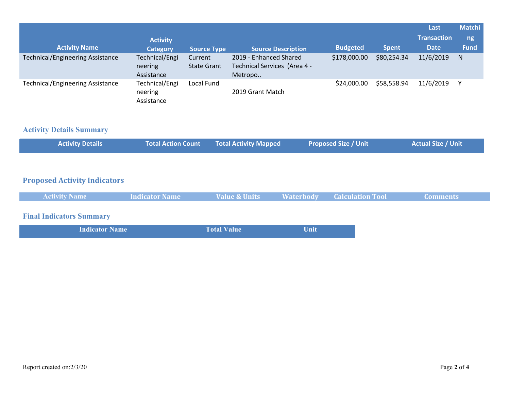|                                         |                                         |                               |                                                                   |                 |              | Last               | <b>Matchi</b> |
|-----------------------------------------|-----------------------------------------|-------------------------------|-------------------------------------------------------------------|-----------------|--------------|--------------------|---------------|
|                                         | <b>Activity</b>                         |                               |                                                                   |                 |              | <b>Transaction</b> | ng            |
| <b>Activity Name</b>                    | <b>Category</b>                         | <b>Source Type</b>            | <b>Source Description</b>                                         | <b>Budgeted</b> | <b>Spent</b> | <b>Date</b>        | <b>Fund</b>   |
| <b>Technical/Engineering Assistance</b> | Technical/Engi<br>neering<br>Assistance | Current<br><b>State Grant</b> | 2019 - Enhanced Shared<br>Technical Services (Area 4 -<br>Metropo | \$178,000.00    | \$80,254.34  | 11/6/2019          | N             |
| <b>Technical/Engineering Assistance</b> | Technical/Engi<br>neering<br>Assistance | Local Fund                    | 2019 Grant Match                                                  | \$24,000.00     | \$58,558.94  | 11/6/2019          |               |

## **Activity Details Summary**

| Total Action Count Total Activity Mapped | <b>Activity Details</b> |  |  | <b>Proposed Size / Unit</b> | Actual Size / Unit |
|------------------------------------------|-------------------------|--|--|-----------------------------|--------------------|
|------------------------------------------|-------------------------|--|--|-----------------------------|--------------------|

### **Proposed Activity Indicators**

| <b>Activity Name</b>            | <b>Indicator Name</b> | <b>Value &amp; Units</b> |             | <b>Waterbody Calculation Tool</b> | <b>Comments</b> |
|---------------------------------|-----------------------|--------------------------|-------------|-----------------------------------|-----------------|
| <b>Final Indicators Summary</b> |                       |                          |             |                                   |                 |
| <b>Indicator Name</b>           |                       | <b>Total Value</b>       | <b>Unit</b> |                                   |                 |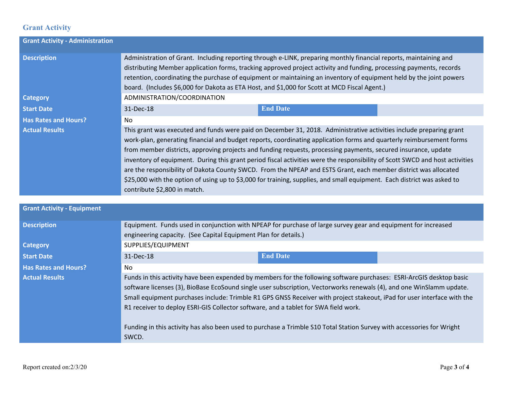# **Grant Activity**

| <b>Grant Activity - Administration</b> |                                                                                                                                                                                                                                                                                                                                                                                                                                                                                                                                                                                                                                                                                                                                                                             |  |  |  |
|----------------------------------------|-----------------------------------------------------------------------------------------------------------------------------------------------------------------------------------------------------------------------------------------------------------------------------------------------------------------------------------------------------------------------------------------------------------------------------------------------------------------------------------------------------------------------------------------------------------------------------------------------------------------------------------------------------------------------------------------------------------------------------------------------------------------------------|--|--|--|
| <b>Description</b>                     | Administration of Grant. Including reporting through e-LINK, preparing monthly financial reports, maintaining and<br>distributing Member application forms, tracking approved project activity and funding, processing payments, records<br>retention, coordinating the purchase of equipment or maintaining an inventory of equipment held by the joint powers<br>board. (Includes \$6,000 for Dakota as ETA Host, and \$1,000 for Scott at MCD Fiscal Agent.)                                                                                                                                                                                                                                                                                                             |  |  |  |
| <b>Category</b>                        | ADMINISTRATION/COORDINATION                                                                                                                                                                                                                                                                                                                                                                                                                                                                                                                                                                                                                                                                                                                                                 |  |  |  |
| <b>Start Date</b>                      | <b>End Date</b><br>31-Dec-18                                                                                                                                                                                                                                                                                                                                                                                                                                                                                                                                                                                                                                                                                                                                                |  |  |  |
| <b>Has Rates and Hours?</b>            | <b>No</b>                                                                                                                                                                                                                                                                                                                                                                                                                                                                                                                                                                                                                                                                                                                                                                   |  |  |  |
| <b>Actual Results</b>                  | This grant was executed and funds were paid on December 31, 2018. Administrative activities include preparing grant<br>work-plan, generating financial and budget reports, coordinating application forms and quarterly reimbursement forms<br>from member districts, approving projects and funding requests, processing payments, secured insurance, update<br>inventory of equipment. During this grant period fiscal activities were the responsibility of Scott SWCD and host activities<br>are the responsibility of Dakota County SWCD. From the NPEAP and ESTS Grant, each member district was allocated<br>\$25,000 with the option of using up to \$3,000 for training, supplies, and small equipment. Each district was asked to<br>contribute \$2,800 in match. |  |  |  |
| <b>Grant Activity - Equipment</b>      |                                                                                                                                                                                                                                                                                                                                                                                                                                                                                                                                                                                                                                                                                                                                                                             |  |  |  |
|                                        |                                                                                                                                                                                                                                                                                                                                                                                                                                                                                                                                                                                                                                                                                                                                                                             |  |  |  |
| <b>Description</b>                     | Equipment. Funds used in conjunction with NPEAP for purchase of large survey gear and equipment for increased<br>engineering capacity. (See Capital Equipment Plan for details.)                                                                                                                                                                                                                                                                                                                                                                                                                                                                                                                                                                                            |  |  |  |
| <b>Category</b>                        | SUPPLIES/EQUIPMENT                                                                                                                                                                                                                                                                                                                                                                                                                                                                                                                                                                                                                                                                                                                                                          |  |  |  |
| <b>Start Date</b>                      | <b>End Date</b><br>31-Dec-18                                                                                                                                                                                                                                                                                                                                                                                                                                                                                                                                                                                                                                                                                                                                                |  |  |  |
| <b>Has Rates and Hours?</b>            | <b>No</b>                                                                                                                                                                                                                                                                                                                                                                                                                                                                                                                                                                                                                                                                                                                                                                   |  |  |  |
| <b>Actual Results</b>                  | Funds in this activity have been expended by members for the following software purchases: ESRI-ArcGIS desktop basic<br>software licenses (3), BioBase EcoSound single user subscription, Vectorworks renewals (4), and one WinSlamm update.<br>Small equipment purchases include: Trimble R1 GPS GNSS Receiver with project stakeout, iPad for user interface with the<br>R1 receiver to deploy ESRI-GIS Collector software, and a tablet for SWA field work.<br>Funding in this activity has also been used to purchase a Trimble S10 Total Station Survey with accessories for Wright<br>SWCD.                                                                                                                                                                           |  |  |  |